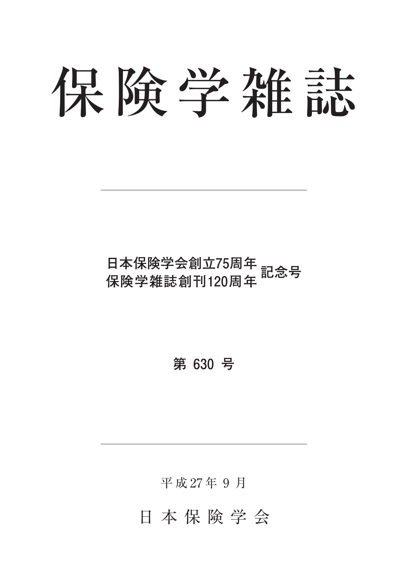# 保険学雑誌

# **日本保険学会創立75周年 保険学雑誌創刊120周年 記念号**

**第 630 号**

平 成 27 年 9 月

日本保険学会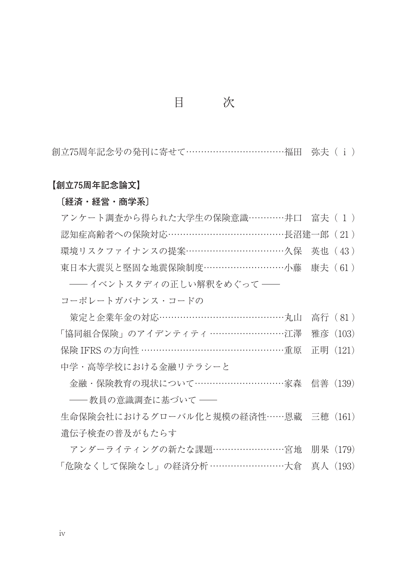### 目 次

創立75周年記念号の発刊に寄せて……………………………福田 弥夫(i)

#### **【創立75周年記念論文】**

#### **〔経済・経営・商学系〕**

| アンケート調査から得られた大学生の保険意識…………井口 富夫(1)     |  |
|---------------------------------------|--|
| 認知症高齢者への保険対応……………………………………長沼建一郎 (21)  |  |
| 環境リスクファイナンスの提案………………………………久保 英也 (43)  |  |
| 東日本大震災と堅固な地震保険制度…………………………小藤 康夫 (61)  |  |
| ―― イベントスタディの正しい解釈をめぐって ――             |  |
| コーポレートガバナンス・コードの                      |  |
| 策定と企業年金の対応……………………………………………丸山 高行 (81) |  |

「協同組合保険」のアイデンティティ ………………………江澤 雅彦 (103) 保険 IFRS の方向性 ……………………………………………重原 正明 (121)

中学・高等学校における金融リテラシーと

金融・保険教育の現状について……………………………家森 信善 (139) ––教員の意識調査に基づいて––

牛命保険会社におけるグローバル化と規模の経済性 …… 恩藏 三穂 (161) 遺伝子検査の普及がもたらす

アンダーライティングの新たな課題宮地 朋果(179) 「危険なくして保険なし」の経済分析 ………………………………………………………大倉 真人 (193)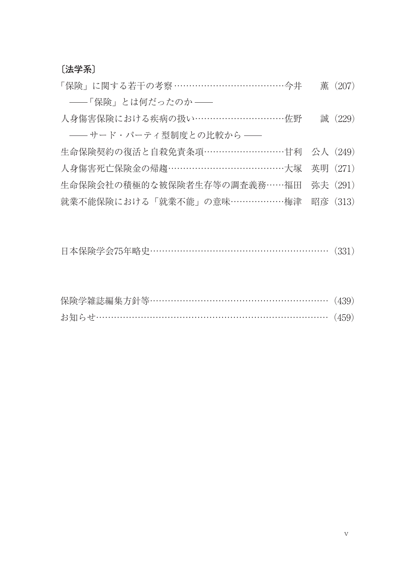**〔法学系〕**

| 「保険」に関する若干の考察 ………………………………今井         | 薫 (207)  |
|--------------------------------------|----------|
| ――「保険」とは何だったのか ――                    |          |
| 人身傷害保険における疾病の扱い…………………………佐野          | 誠 (229)  |
| -- サード・パーティ型制度との比較から --              |          |
| 生命保険契約の復活と自殺免責条項………………………甘利 公人 (249) |          |
| 人身傷害死亡保険金の帰趨……………………………………大塚         | 英明 (271) |
| 生命保険会社の積極的な被保険者生存等の調査義務……福田          | 弥夫 (291) |
| 就業不能保険における「就業不能」の意味………………梅津          | 昭彦 (313) |
|                                      |          |

| 日本保険学会75年略史………………………………………………… (331) |  |  |
|--------------------------------------|--|--|
|--------------------------------------|--|--|

| 保険学雑誌編集方針等………………………………………………… (439) |  |
|-------------------------------------|--|
| お知らせ………………………………………………………………… (459) |  |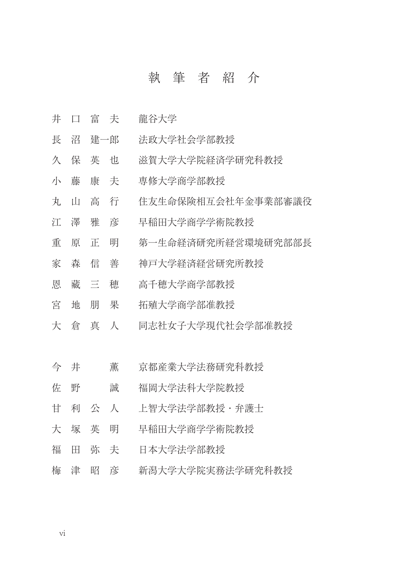## 執筆者紹介

- 井口富夫 龍谷大学
- 長 沼 建一郎 法政大学社会学部教授
- 久保 英 也 滋賀大学大学院経済学研究科教授
- 小藤康夫 専修大学商学部教授
- 丸山高行 住友生命保険相互会社年金事業部審議役
- 江澤雅彦 早稲田大学商学学術院教授
- 重原正明 第一生命経済研究所経営環境研究部部長
- 家森信善 神戸大学経済経営研究所教授
- 恩藏三穂 高千穂大学商学部教授
- 宮地朋果 拓殖大学商学部准教授
- 大倉真人 同志社女子大学現代社会学部准教授
- 今 井 董 京都産業大学法務研究科教授
- 佐 野 誠 福岡大学法科大学院教授
- 甘利公人 上智大学法学部教授・弁護士
- 大塚英明 早稲田大学商学学術院教授
- 福 田 弥 夫 日本大学法学部教授
- 梅津昭彦 新潟大学大学院実務法学研究科教授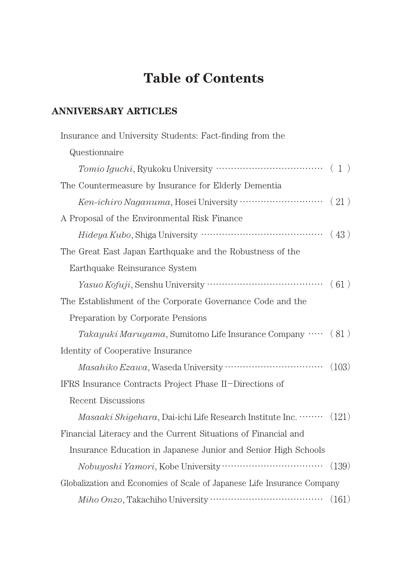# **Table of Contents**

## **ANNIVERSARY ARTICLES**

| Insurance and University Students: Fact-finding from the                |       |
|-------------------------------------------------------------------------|-------|
| Questionnaire                                                           |       |
|                                                                         |       |
| The Countermeasure by Insurance for Elderly Dementia                    |       |
| Ken-ichiro Naganuma, Hosei University ································· | (21)  |
| A Proposal of the Environmental Risk Finance                            |       |
|                                                                         | (43)  |
| The Great East Japan Earthquake and the Robustness of the               |       |
| Earthquake Reinsurance System                                           |       |
|                                                                         | (61)  |
| The Establishment of the Corporate Governance Code and the              |       |
| Preparation by Corporate Pensions                                       |       |
| Takayuki Maruyama, Sumitomo Life Insurance Company  (81)                |       |
| Identity of Cooperative Insurance                                       |       |
|                                                                         | (103) |
| IFRS Insurance Contracts Project Phase II-Directions of                 |       |
| Recent Discussions                                                      |       |
| Masaaki Shigehara, Dai-ichi Life Research Institute Inc.                | (121) |
| Financial Literacy and the Current Situations of Financial and          |       |
| Insurance Education in Japanese Junior and Senior High Schools          |       |
|                                                                         | (139) |
| Globalization and Economies of Scale of Japanese Life Insurance Company |       |
|                                                                         |       |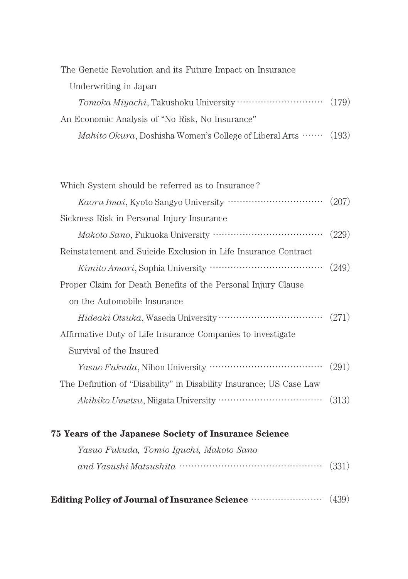| The Genetic Revolution and its Future Impact on Insurance                     |  |
|-------------------------------------------------------------------------------|--|
| Underwriting in Japan                                                         |  |
|                                                                               |  |
| An Economic Analysis of "No Risk, No Insurance"                               |  |
| <i>Mahito Okura</i> , Doshisha Women's College of Liberal Arts $\cdots$ (193) |  |

| Which System should be referred as to Insurance?                    |       |
|---------------------------------------------------------------------|-------|
|                                                                     | (207) |
| Sickness Risk in Personal Injury Insurance                          |       |
|                                                                     | (229) |
| Reinstatement and Suicide Exclusion in Life Insurance Contract      |       |
|                                                                     | (249) |
| Proper Claim for Death Benefits of the Personal Injury Clause       |       |
|                                                                     |       |
| on the Automobile Insurance                                         |       |
|                                                                     | (271) |
| Affirmative Duty of Life Insurance Companies to investigate         |       |
| Survival of the Insured                                             |       |
|                                                                     | (291) |
| The Definition of "Disability" in Disability Insurance; US Case Law |       |

| 75 Years of the Japanese Society of Insurance Science |  |
|-------------------------------------------------------|--|
| Yasuo Fukuda, Tomio Iquchi, Makoto Sano               |  |
| $and Yasushi Matsushita$ (331)                        |  |
|                                                       |  |

**Editing Policy of Journal of Insurance Science** (439)